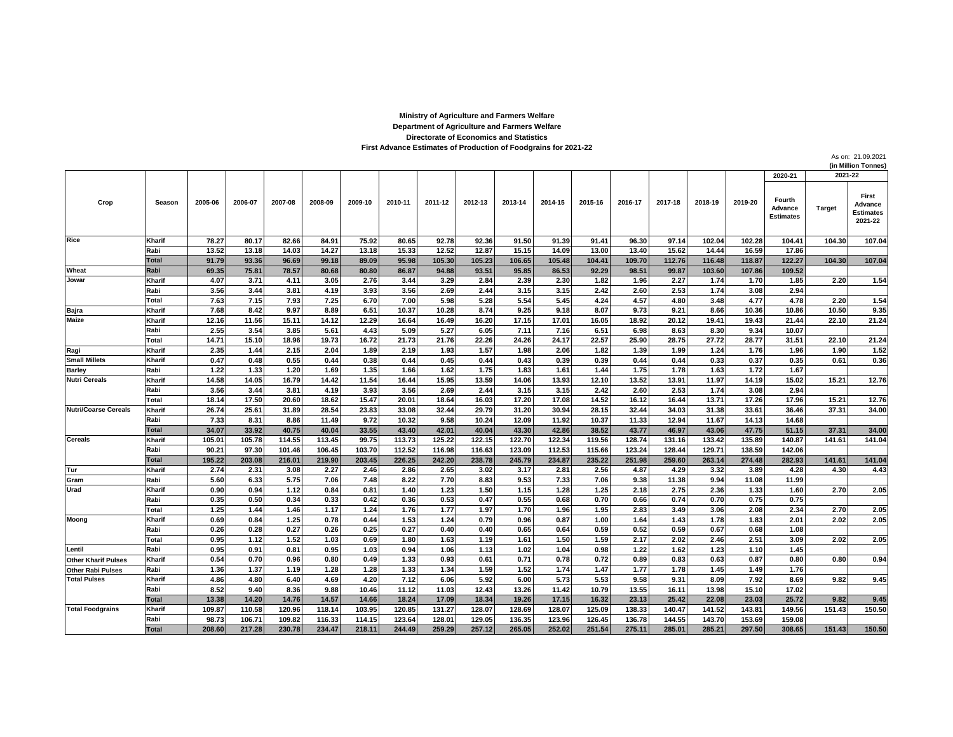## **First Advance Estimates of Production of Foodgrains for 2021-22 Directorate of Economics and Statistics Department of Agriculture and Farmers Welfare Ministry of Agriculture and Farmers Welfare**

As on: 21.09.2021 **(in Million Tonnes)**

|                             |                      |                 |                 |                 |                 |                |                 |               |                 |                 |                 |                |                 |                 |                 |                | 2020-21                               | 2021-22         |                                                 |
|-----------------------------|----------------------|-----------------|-----------------|-----------------|-----------------|----------------|-----------------|---------------|-----------------|-----------------|-----------------|----------------|-----------------|-----------------|-----------------|----------------|---------------------------------------|-----------------|-------------------------------------------------|
| Crop                        | Season               | 2005-06         | 2006-07         | 2007-08         | 2008-09         | 2009-10        | 2010-11         | 2011-12       | 2012-13         | 2013-14         | 2014-15         | 2015-16        | 2016-17         | 2017-18         | 2018-19         | 2019-20        | Fourth<br>Advance<br><b>Estimates</b> | <b>Target</b>   | First<br>Advance<br><b>Estimates</b><br>2021-22 |
| Rice                        | Kharif               | 78.27           | 80.17           | 82.66           | 84.91           | 75.92          | 80.65           | 92.78         | 92.36           | 91.50           | 91.39           | 91.41          | 96.30           | 97.14           | 102.04          | 102.28         | 104.41                                | 104.30          | 107.04                                          |
|                             | Rabi                 | 13.52           | 13.18           | 14.03           | 14.27           | 13.18          | 15.33           | 12.52         | 12.87           | 15.15           | 14.09           | 13.00          | 13.40           | 15.62           | 14.44           | 16.59          | 17.86                                 |                 |                                                 |
|                             | <b>Total</b>         | 91.79           | 93.36           | 96.69           | 99.18           | 89.09          | 95.98           | 105.30        | 105.23          | 106.65          | 105.48          | 104.41         | 109.70          | 112.76          | 116.48          | 118.87         | 122.27                                | 104.30          | 107.04                                          |
| Wheat                       | Rabi                 | 69.35           | 75.81           | 78.57           | 80.68           | 80.80          | 86.87           | 94.88         | 93.51           | 95.85           | 86.53           | 92.29          | 98.51           | 99.87           | 103.60          | 107.86         | 109.52                                |                 |                                                 |
| Jowar                       | Kharif               | 4.07            | 3.71            | 4.11            | 3.05            | 2.76           | 3.44            | 3.29          | 2.84            | 2.39            | 2.30            | 1.82           | 1.96            | 2.27            | 1.74            | 1.70           | 1.85                                  | 2.20            | 1.54                                            |
|                             | Rabi                 | 3.56            | 3.44            | 3.81            | 4.19            | 3.93           | 3.56            | 2.69          | 2.44            | 3.15            | 3.15            | 2.42           | 2.60            | 2.53            | 1.74            | 3.08           | 2.94                                  |                 |                                                 |
|                             | Total                | 7.63            | 7.15            | 7.93            | 7.25            | 6.70           | 7.00            | 5.98          | 5.28            | 5.54            | 5.45            | 4.24           | 4.57            | 4.80            | 3.48            | 4.77           | 4.78                                  | 2.20            | 1.54                                            |
| Bajra                       | Kharif               | 7.68            | 8.42            | 9.97            | 8.89            | 6.51           | 10.37           | 10.28         | 8.74            | 9.25            | 9.18            | 8.07           | 9.73            | 9.21            | 8.66            | 10.36          | 10.86                                 | 10.50           | 9.35                                            |
| Maize                       | Kharif               | 12.16           | 11.56           | 15.11           | 14.12           | 12.29          | 16.64           | 16.49         | 16.20           | 17.15           | 17.01           | 16.05          | 18.92           | 20.12           | 19.41           | 19.43          | 21.44                                 | 22.10           | 21.24                                           |
|                             | Rabi                 | 2.55            | 3.54            | 3.85            | 5.61            | 4.43           | 5.09            | 5.27          | 6.05            | 7.11            | 7.16            | 6.51           | 6.98            | 8.63            | 8.30            | 9.34           | 10.07                                 |                 |                                                 |
|                             | Total                | 14.71           | 15.10           | 18.96           | 19.73           | 16.72          | 21.73           | 21.76         | 22.26           | 24.26           | 24.17           | 22.57          | 25.90           | 28.75           | 27.72           | 28.77          | 31.51                                 | 22.10           | 21.24                                           |
| Ragi                        | Kharif               | 2.35            | 1.44            | 2.15            | 2.04            | 1.89           | 2.19            | 1.93          | 1.57            | 1.98            | 2.06            | 1.82           | 1.39            | 1.99            | 1.24            | 1.76           | 1.96                                  | 1.90            | 1.52                                            |
| <b>Small Millets</b>        | Kharif               | 0.47            | 0.48            | 0.55            | 0.44            | 0.38           | 0.44            | 0.45          | 0.44            | 0.43            | 0.39            | 0.39           | 0.44            | 0.44            | 0.33            | 0.37           | 0.35                                  | 0.61            | 0.36                                            |
| <b>Barley</b>               | Rabi                 | 1.22            | 1.33            | 1.20            | 1.69            | 1.35           | 1.66            | 1.62          | 1.75            | 1.83            | 1.61            | 1.44           | 1.75            | 1.78            | 1.63            | 1.72           | 1.67                                  |                 |                                                 |
| <b>Nutri Cereals</b>        | Kharif               | 14.58           | 14.05           | 16.79           | 14.42           | 11.54          | 16.44           | 15.95         | 13.59           | 14.06           | 13.93           | 12.10          | 13.52           | 13.91           | 11.97           | 14.19          | 15.02                                 | 15.21           | 12.76                                           |
|                             | Rabi                 | 3.56            | 3.44            | 3.81            | 4.19            | 3.93           | 3.56            | 2.69          | 2.44            | 3.15            | 3.15            | 2.42           | 2.60            | 2.53            | 1.74            | 3.08           | 2.94                                  |                 |                                                 |
|                             | Total                | 18.14           | 17.50           | 20.60           | 18.62           | 15.47          | 20.01           | 18.64         | 16.03           | 17.20           | 17.08           | 14.52          | 16.12           | 16.44           | 13.71           | 17.26          | 17.96                                 | 15.21           | 12.76                                           |
| <b>Nutri/Coarse Cereals</b> | Kharif               | 26.74           | 25.61           | 31.89           | 28.54           | 23.83          | 33.08           | 32.44         | 29.79           | 31.20           | 30.94           | 28.15          | 32.44           | 34.03           | 31.38           | 33.61          | 36.46                                 | 37.31           | 34.00                                           |
|                             | Rabi<br><b>Total</b> | 7.33            | 8.31            | 8.86            | 11.49           | 9.72           | 10.32           | 9.58<br>42.01 | 10.24           | 12.09           | 11.92           | 10.37<br>38.52 | 11.33           | 12.94           | 11.67           | 14.13<br>47.75 | 14.68                                 |                 |                                                 |
| <b>Cereals</b>              | Kharif               | 34.07<br>105.01 | 33.92<br>105.78 | 40.75<br>114.55 | 40.04<br>113.45 | 33.55<br>99.75 | 43.40<br>113.73 | 125.22        | 40.04<br>122.15 | 43.30<br>122.70 | 42.86<br>122.34 | 119.56         | 43.77<br>128.74 | 46.97<br>131.16 | 43.06<br>133.42 | 135.89         | 51.15<br>140.87                       | 37.31<br>141.61 | 34.00<br>141.04                                 |
|                             | Rabi                 | 90.21           | 97.30           | 101.46          | 106.45          | 103.70         | 112.52          | 116.98        | 116.63          | 123.09          | 112.53          | 115.66         | 123.24          | 128.44          | 129.71          | 138.59         | 142.06                                |                 |                                                 |
|                             | <b>Total</b>         | 195.22          | 203.08          | 216.01          | 219.90          | 203.45         | 226.25          | 242.20        | 238.78          | 245.79          | 234.87          | 235.22         | 251.98          | 259.60          | 263.14          | 274.48         | 282.93                                | 141.61          | 141.04                                          |
| Tur                         | Kharif               | 2.74            | 2.31            | 3.08            | 2.27            | 2.46           | 2.86            | 2.65          | 3.02            | 3.17            | 2.81            | 2.56           | 4.87            | 4.29            | 3.32            | 3.89           | 4.28                                  | 4.30            | 4.43                                            |
| Gram                        | Rabi                 | 5.60            | 6.33            | 5.75            | 7.06            | 7.48           | 8.22            | 7.70          | 8.83            | 9.53            | 7.33            | 7.06           | 9.38            | 11.38           | 9.94            | 11.08          | 11.99                                 |                 |                                                 |
| Urad                        | Kharif               | 0.90            | 0.94            | 1.12            | 0.84            | 0.81           | 1.40            | 1.23          | 1.50            | 1.15            | 1.28            | 1.25           | 2.18            | 2.75            | 2.36            | 1.33           | 1.60                                  | 2.70            | 2.05                                            |
|                             | Rabi                 | 0.35            | 0.50            | 0.34            | 0.33            | 0.42           | 0.36            | 0.53          | 0.47            | 0.55            | 0.68            | 0.70           | 0.66            | 0.74            | 0.70            | 0.75           | 0.75                                  |                 |                                                 |
|                             | Total                | 1.25            | 1.44            | 1.46            | 1.17            | 1.24           | 1.76            | 1.77          | 1.97            | 1.70            | 1.96            | 1.95           | 2.83            | 3.49            | 3.06            | 2.08           | 2.34                                  | 2.70            | 2.05                                            |
| Moong                       | Kharif               | 0.69            | 0.84            | 1.25            | 0.78            | 0.44           | 1.53            | 1.24          | 0.79            | 0.96            | 0.87            | 1.00           | 1.64            | 1.43            | 1.78            | 1.83           | 2.01                                  | 2.02            | 2.05                                            |
|                             | Rabi                 | 0.26            | 0.28            | 0.27            | 0.26            | 0.25           | 0.27            | 0.40          | 0.40            | 0.65            | 0.64            | 0.59           | 0.52            | 0.59            | 0.67            | 0.68           | 1.08                                  |                 |                                                 |
|                             | Total                | 0.95            | 1.12            | 1.52            | 1.03            | 0.69           | 1.80            | 1.63          | 1.19            | 1.61            | 1.50            | 1.59           | 2.17            | 2.02            | 2.46            | 2.51           | 3.09                                  | 2.02            | 2.05                                            |
| Lentil                      | Rabi                 | 0.95            | 0.91            | 0.81            | 0.95            | 1.03           | 0.94            | 1.06          | 1.13            | 1.02            | 1.04            | 0.98           | 1.22            | 1.62            | 1.23            | 1.10           | 1.45                                  |                 |                                                 |
| <b>Other Kharif Pulses</b>  | Kharif               | 0.54            | 0.70            | 0.96            | 0.80            | 0.49           | 1.33            | 0.93          | 0.61            | 0.71            | 0.78            | 0.72           | 0.89            | 0.83            | 0.63            | 0.87           | 0.80                                  | 0.80            | 0.94                                            |
| <b>Other Rabi Pulses</b>    | Rabi                 | 1.36            | 1.37            | 1.19            | 1.28            | 1.28           | 1.33            | 1.34          | 1.59            | 1.52            | 1.74            | 1.47           | 1.77            | 1.78            | 1.45            | 1.49           | 1.76                                  |                 |                                                 |
| <b>Total Pulses</b>         | Kharif               | 4.86            | 4.80            | 6.40            | 4.69            | 4.20           | 7.12            | 6.06          | 5.92            | 6.00            | 5.73            | 5.53           | 9.58            | 9.31            | 8.09            | 7.92           | 8.69                                  | 9.82            | 9.45                                            |
|                             | Rabi                 | 8.52            | 9.40            | 8.36            | 9.88            | 10.46          | 11.12           | 11.03         | 12.43           | 13.26           | 11.42           | 10.79          | 13.55           | 16.11           | 13.98           | 15.10          | 17.02                                 |                 |                                                 |
|                             | <b>Total</b>         | 13.38           | 14.20           | 14.76           | 14.57           | 14.66          | 18.24           | 17.09         | 18.34           | 19.26           | 17.15           | 16.32          | 23.13           | 25.42           | 22.08           | 23.03          | 25.72                                 | 9.82            | 9.45                                            |
| <b>Total Foodgrains</b>     | Kharif               | 109.87          | 110.58          | 120.96          | 118.14          | 103.95         | 120.85          | 131.27        | 128.07          | 128.69          | 128.07          | 125.09         | 138.33          | 140.47          | 141.52          | 143.81         | 149.56                                | 151.43          | 150.50                                          |
|                             | Rabi                 | 98.73           | 106.71          | 109.82          | 116.33          | 114.15         | 123.64          | 128.01        | 129.05          | 136.35          | 123.96          | 126.45         | 136.78          | 144.55          | 143.70          | 153.69         | 159.08                                |                 |                                                 |
|                             | Total                | 208.60          | 217.28          | 230.78          | 234.47          | 218.11         | 244.49          | 259.29        | 257.12          | 265.05          | 252.02          | 251.54         | 275.11          | 285.01          | 285.21          | 297.50         | 308.65                                | 151.43          | 150.50                                          |